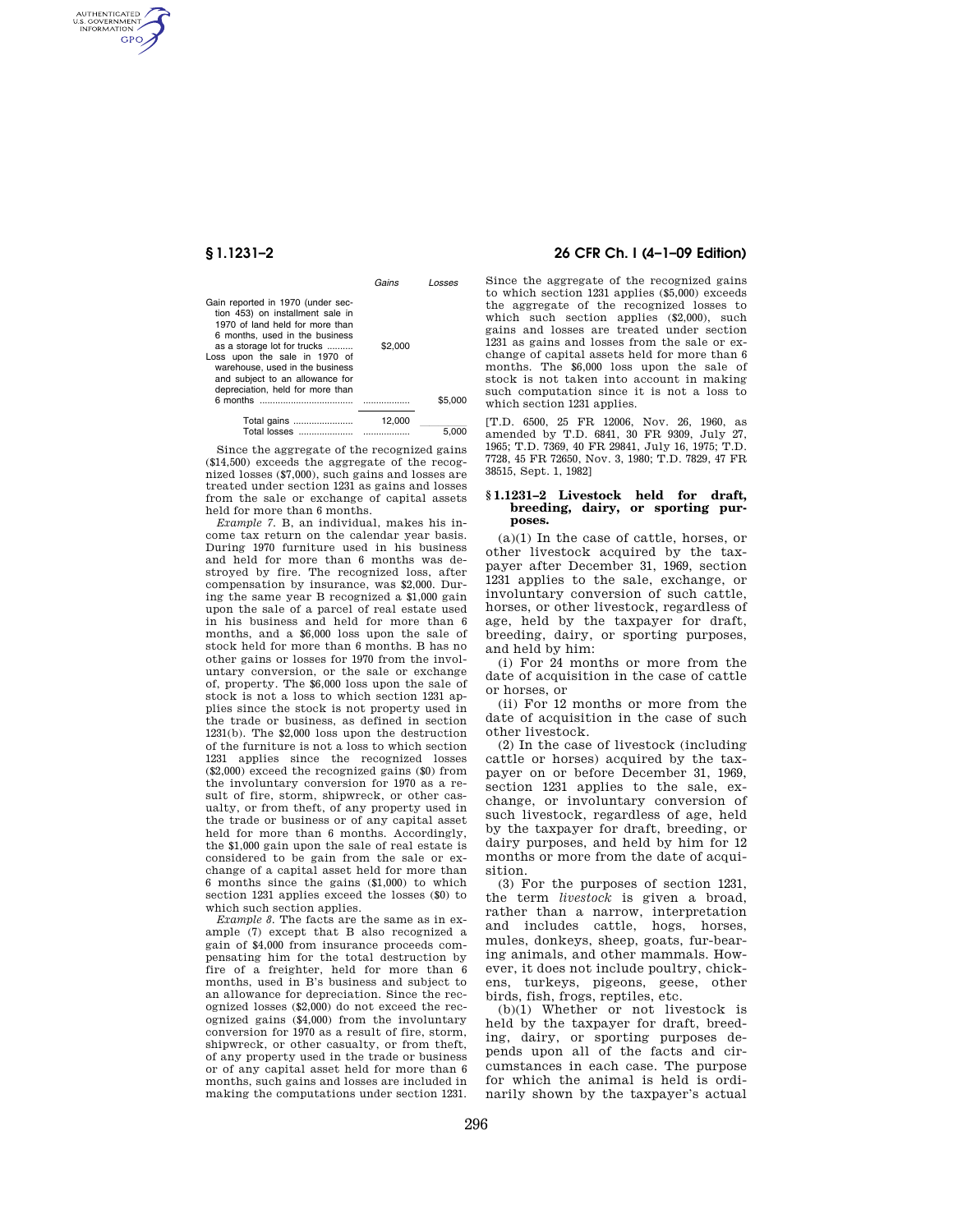AUTHENTICATED<br>U.S. GOVERNMENT<br>INFORMATION **GPO** 

|                                                                                                                                                                                                                                                                                                                      | Gains   | Losses  |
|----------------------------------------------------------------------------------------------------------------------------------------------------------------------------------------------------------------------------------------------------------------------------------------------------------------------|---------|---------|
| Gain reported in 1970 (under sec-<br>tion 453) on installment sale in<br>1970 of land held for more than<br>6 months, used in the business<br>as a storage lot for trucks<br>Loss upon the sale in 1970 of<br>warehouse, used in the business<br>and subject to an allowance for<br>depreciation, held for more than | \$2,000 |         |
|                                                                                                                                                                                                                                                                                                                      |         | \$5.000 |
| Total gains                                                                                                                                                                                                                                                                                                          | 12.000  | 5.000   |

Since the aggregate of the recognized gains (\$14,500) exceeds the aggregate of the recognized losses (\$7,000), such gains and losses are treated under section 1231 as gains and losses from the sale or exchange of capital assets held for more than 6 months.

*Example 7.* B, an individual, makes his income tax return on the calendar year basis. During 1970 furniture used in his business and held for more than 6 months was destroyed by fire. The recognized loss, after compensation by insurance, was \$2,000. During the same year B recognized a \$1,000 gain upon the sale of a parcel of real estate used in his business and held for more than 6 months, and a \$6,000 loss upon the sale of stock held for more than 6 months. B has no other gains or losses for 1970 from the involuntary conversion, or the sale or exchange of, property. The \$6,000 loss upon the sale of stock is not a loss to which section 1231 applies since the stock is not property used in the trade or business, as defined in section 1231(b). The \$2,000 loss upon the destruction of the furniture is not a loss to which section 1231 applies since the recognized losses (\$2,000) exceed the recognized gains (\$0) from the involuntary conversion for 1970 as a result of fire, storm, shipwreck, or other casualty, or from theft, of any property used in the trade or business or of any capital asset held for more than 6 months. Accordingly, the \$1,000 gain upon the sale of real estate is considered to be gain from the sale or exchange of a capital asset held for more than 6 months since the gains (\$1,000) to which section 1231 applies exceed the losses (\$0) to which such section applies.

*Example 8.* The facts are the same as in example (7) except that B also recognized a gain of \$4,000 from insurance proceeds compensating him for the total destruction by fire of a freighter, held for more than 6 months, used in B's business and subject to an allowance for depreciation. Since the recognized losses (\$2,000) do not exceed the recognized gains (\$4,000) from the involuntary conversion for 1970 as a result of fire, storm, shipwreck, or other casualty, or from theft, of any property used in the trade or business or of any capital asset held for more than 6 months, such gains and losses are included in making the computations under section 1231.

# **§ 1.1231–2 26 CFR Ch. I (4–1–09 Edition)**

Since the aggregate of the recognized gains to which section 1231 applies (\$5,000) exceeds the aggregate of the recognized losses to which such section applies (\$2,000), such gains and losses are treated under section 1231 as gains and losses from the sale or exchange of capital assets held for more than 6 months. The \$6,000 loss upon the sale of stock is not taken into account in making such computation since it is not a loss to which section 1231 applies.

[T.D. 6500, 25 FR 12006, Nov. 26, 1960, as amended by T.D. 6841, 30 FR 9309, July 27, 1965; T.D. 7369, 40 FR 29841, July 16, 1975; T.D. 7728, 45 FR 72650, Nov. 3, 1980; T.D. 7829, 47 FR 38515, Sept. 1, 1982]

#### **§ 1.1231–2 Livestock held for draft, breeding, dairy, or sporting purposes.**

(a)(1) In the case of cattle, horses, or other livestock acquired by the taxpayer after December 31, 1969, section 1231 applies to the sale, exchange, or involuntary conversion of such cattle, horses, or other livestock, regardless of age, held by the taxpayer for draft, breeding, dairy, or sporting purposes, and held by him:

(i) For 24 months or more from the date of acquisition in the case of cattle or horses, or

(ii) For 12 months or more from the date of acquisition in the case of such other livestock.

(2) In the case of livestock (including cattle or horses) acquired by the taxpayer on or before December 31, 1969, section 1231 applies to the sale, exchange, or involuntary conversion of such livestock, regardless of age, held by the taxpayer for draft, breeding, or dairy purposes, and held by him for 12 months or more from the date of acquisition.

(3) For the purposes of section 1231, the term *livestock* is given a broad, rather than a narrow, interpretation and includes cattle, hogs, horses, mules, donkeys, sheep, goats, fur-bearing animals, and other mammals. However, it does not include poultry, chickens, turkeys, pigeons, geese, other birds, fish, frogs, reptiles, etc.

(b)(1) Whether or not livestock is held by the taxpayer for draft, breeding, dairy, or sporting purposes depends upon all of the facts and circumstances in each case. The purpose for which the animal is held is ordinarily shown by the taxpayer's actual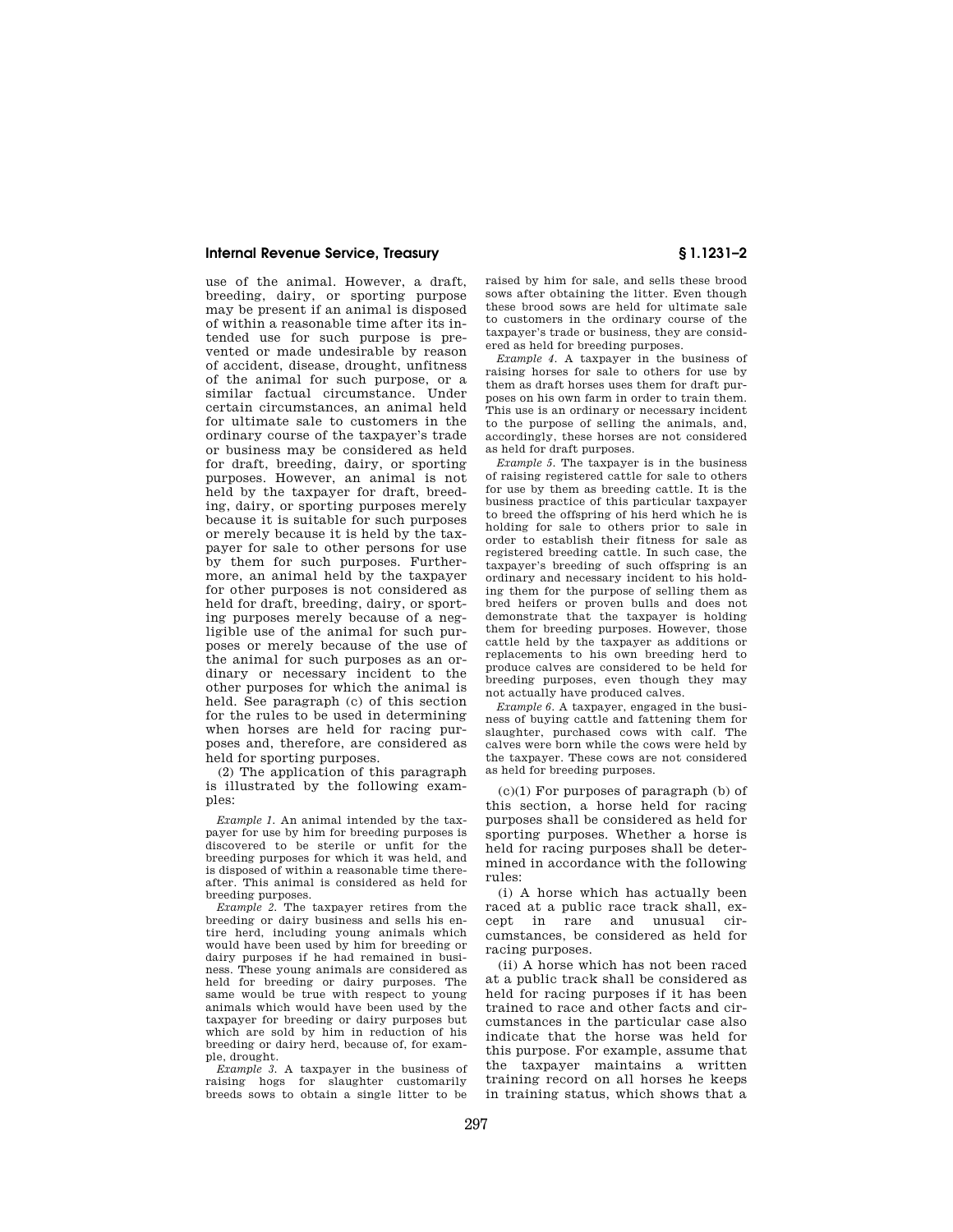### **Internal Revenue Service, Treasury § 1.1231–2**

use of the animal. However, a draft, breeding, dairy, or sporting purpose may be present if an animal is disposed of within a reasonable time after its intended use for such purpose is prevented or made undesirable by reason of accident, disease, drought, unfitness of the animal for such purpose, or a similar factual circumstance. Under certain circumstances, an animal held for ultimate sale to customers in the ordinary course of the taxpayer's trade or business may be considered as held for draft, breeding, dairy, or sporting purposes. However, an animal is not held by the taxpayer for draft, breeding, dairy, or sporting purposes merely because it is suitable for such purposes or merely because it is held by the taxpayer for sale to other persons for use by them for such purposes. Furthermore, an animal held by the taxpayer for other purposes is not considered as held for draft, breeding, dairy, or sporting purposes merely because of a negligible use of the animal for such purposes or merely because of the use of the animal for such purposes as an ordinary or necessary incident to the other purposes for which the animal is held. See paragraph (c) of this section for the rules to be used in determining when horses are held for racing purposes and, therefore, are considered as held for sporting purposes.

(2) The application of this paragraph is illustrated by the following examples:

*Example 1.* An animal intended by the taxpayer for use by him for breeding purposes is discovered to be sterile or unfit for the breeding purposes for which it was held, and is disposed of within a reasonable time thereafter. This animal is considered as held for breeding purposes.

*Example 2.* The taxpayer retires from the breeding or dairy business and sells his entire herd, including young animals which would have been used by him for breeding or dairy purposes if he had remained in business. These young animals are considered as held for breeding or dairy purposes. The same would be true with respect to young animals which would have been used by the taxpayer for breeding or dairy purposes but which are sold by him in reduction of his breeding or dairy herd, because of, for example, drought.

*Example 3.* A taxpayer in the business of raising hogs for slaughter customarily breeds sows to obtain a single litter to be

raised by him for sale, and sells these brood sows after obtaining the litter. Even though these brood sows are held for ultimate sale to customers in the ordinary course of the taxpayer's trade or business, they are considered as held for breeding purposes.

*Example 4.* A taxpayer in the business of raising horses for sale to others for use by them as draft horses uses them for draft purposes on his own farm in order to train them. This use is an ordinary or necessary incident to the purpose of selling the animals, and, accordingly, these horses are not considered as held for draft purposes.

*Example 5.* The taxpayer is in the business of raising registered cattle for sale to others for use by them as breeding cattle. It is the business practice of this particular taxpayer to breed the offspring of his herd which he is holding for sale to others prior to sale in order to establish their fitness for sale as registered breeding cattle. In such case, the taxpayer's breeding of such offspring is an ordinary and necessary incident to his holding them for the purpose of selling them as bred heifers or proven bulls and does not demonstrate that the taxpayer is holding them for breeding purposes. However, those cattle held by the taxpayer as additions or replacements to his own breeding herd to produce calves are considered to be held for breeding purposes, even though they may not actually have produced calves.

*Example 6.* A taxpayer, engaged in the business of buying cattle and fattening them for slaughter, purchased cows with calf. The calves were born while the cows were held by the taxpayer. These cows are not considered as held for breeding purposes.

 $(c)(1)$  For purposes of paragraph  $(b)$  of this section, a horse held for racing purposes shall be considered as held for sporting purposes. Whether a horse is held for racing purposes shall be determined in accordance with the following rules:

(i) A horse which has actually been raced at a public race track shall, except in rare and unusual circumstances, be considered as held for racing purposes.

(ii) A horse which has not been raced at a public track shall be considered as held for racing purposes if it has been trained to race and other facts and circumstances in the particular case also indicate that the horse was held for this purpose. For example, assume that the taxpayer maintains a written training record on all horses he keeps in training status, which shows that a